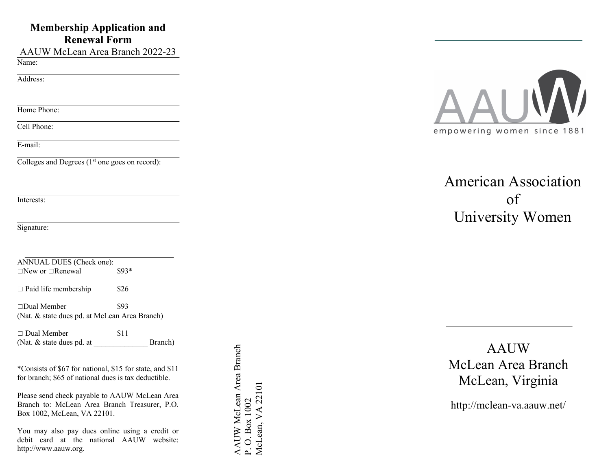# **Membership Application and Renewal Form**

AAUW McLean Area Branch 2022-23

Name:

Address:

Home Phone:

Cell Phone:

E-mail:

Colleges and Degrees  $(1<sup>st</sup>$  one goes on record):

Interests:

Signature:

| ANNUAL DUES (Check one):<br>$\Box$ New or $\Box$ Renewal            | $$93*$ |
|---------------------------------------------------------------------|--------|
| $\Box$ Paid life membership                                         | \$26   |
| $\Box$ Dual Member<br>(Nat. & state dues pd. at McLean Area Branch) | \$93   |
| $\Box$ Dual Member                                                  | S 1 1  |

| $\Box$ Dual Member        | 31 I |         |
|---------------------------|------|---------|
| (Nat. & state dues pd. at |      | Branch) |

\*Consists of \$ 6 7 for national, \$15 for state, and \$1 1 for branch; \$65 of national dues is tax deductible.

Please send check payable to AAUW McLean Area Branch to: McLean Area Branch Treasurer, P.O. Box 1002, McLean, VA 22101 .

You may also pay dues online using a credit or debit card at the national AAUW w ebsite: http://www.aauw.org .

AAUW McLean Area Branch AAUW McLean Area Branch McLean, VA 22101 McLean, VA 22101 P.O. Box 1002 P. O. Box 1002



American Association of University Women

AAUW McLean Area Branch McLean, Virginia

http://mclean -va.aauw.net/